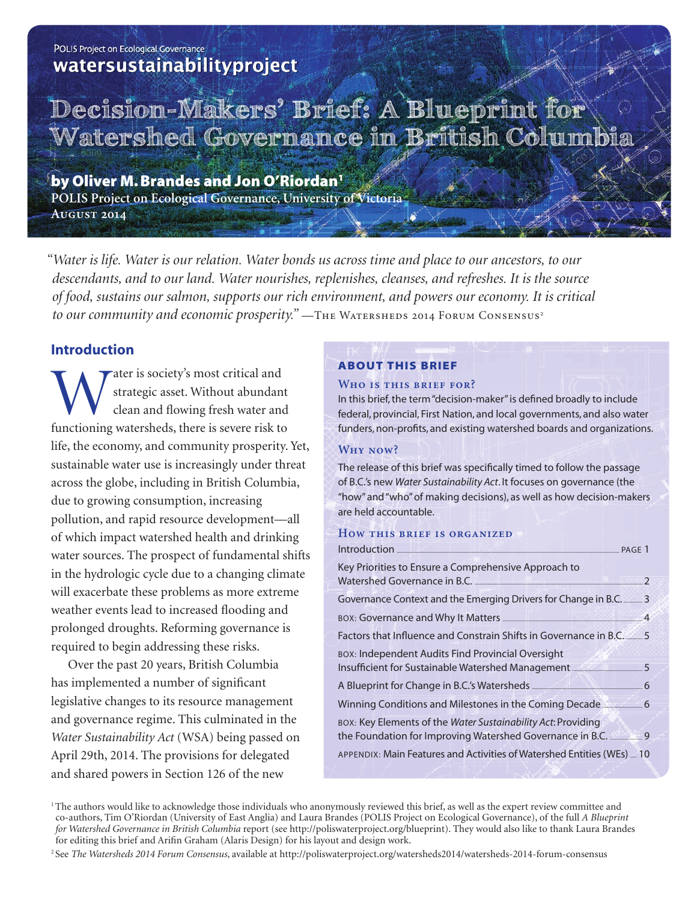# POLIS Project on Ecological Governance watersustainabilityproject

# **Decision-Makers' Brief: A Blueprint for**  Watershed Governance in British Columbi

by Oliver M. Brandes and Jon O'Riordan<sup>1</sup> **POLIS Project on Ecological Governance, University of Victoria August 2014**

*"Water is life. Water is our relation. Water bonds us across time and place to our ancestors, to our descendants, and to our land. Water nourishes, replenishes, cleanses, and refreshes. It is the source of food, sustains our salmon, supports our rich environment, and powers our economy. It is critical*  to our community and economic prosperity." —THE WATERSHEDS 2014 FORUM CONSENSUS<sup>2</sup>

# **Introduction**

Water is society's most critical and<br>strategic asset. Without abundan<br>clean and flowing fresh water and<br>functioning watersheds, there is severe risk to strategic asset. Without abundant clean and flowing fresh water and functioning watersheds, there is severe risk to life, the economy, and community prosperity. Yet, sustainable water use is increasingly under threat across the globe, including in British Columbia, due to growing consumption, increasing pollution, and rapid resource development—all of which impact watershed health and drinking water sources. The prospect of fundamental shifts in the hydrologic cycle due to a changing climate will exacerbate these problems as more extreme weather events lead to increased flooding and prolonged droughts. Reforming governance is required to begin addressing these risks.

Over the past 20 years, British Columbia has implemented a number of significant legislative changes to its resource management and governance regime. This culminated in the *Water Sustainability Act* (WSA) being passed on April 29th, 2014. The provisions for delegated and shared powers in Section 126 of the new

# About This Brief

## **Who is this brief for?**

In this brief, the term "decision-maker" is defined broadly to include federal, provincial, First Nation, and local governments, and also water funders, non-profits, and existing watershed boards and organizations.

# **Why now?**

The release of this brief was specifically timed to follow the passage of B.C.'s new *Water Sustainability Act*. It focuses on governance (the "how" and "who" of making decisions), as well as how decision-makers are held accountable.

## **How this brief is organized**

| Introduction Execution PAGE 1                                                                                |                |
|--------------------------------------------------------------------------------------------------------------|----------------|
| Key Priorities to Ensure a Comprehensive Approach to                                                         |                |
| Watershed Governance in B.C.                                                                                 | $\overline{2}$ |
| Governance Context and the Emerging Drivers for Change in B.C. ______ 3                                      |                |
|                                                                                                              |                |
| Factors that Influence and Constrain Shifts in Governance in B.C. 5                                          |                |
| BOX: Independent Audits Find Provincial Oversight                                                            |                |
| Insufficient for Sustainable Watershed Management _________________________5                                 |                |
| A Blueprint for Change in B.C.'s Watersheds <b>Manual Accord A Blueprint</b> for Change in B.C.'s Watersheds |                |
| Winning Conditions and Milestones in the Coming Decade                                                       |                |
| BOX: Key Elements of the Water Sustainability Act: Providing                                                 |                |
| the Foundation for Improving Watershed Governance in B.C.                                                    |                |
| APPENDIX: Main Features and Activities of Watershed Entities (WEs)  10                                       |                |

<sup>1</sup> The authors would like to acknowledge those individuals who anonymously reviewed this brief, as well as the expert review committee and co-authors, Tim O'Riordan (University of East Anglia) and Laura Brandes (POLIS Project on Ecological Governance), of the full *A Blueprint for Watershed Governance in British Columbia* report (see http://poliswaterproject.org/blueprint). They would also like to thank Laura Brandes for editing this brief and Arifin Graham (Alaris Design) for his layout and design work.

2 See *The Watersheds 2014 Forum Consensus*, available at http://poliswaterproject.org/watersheds2014/watersheds-2014-forum-consensus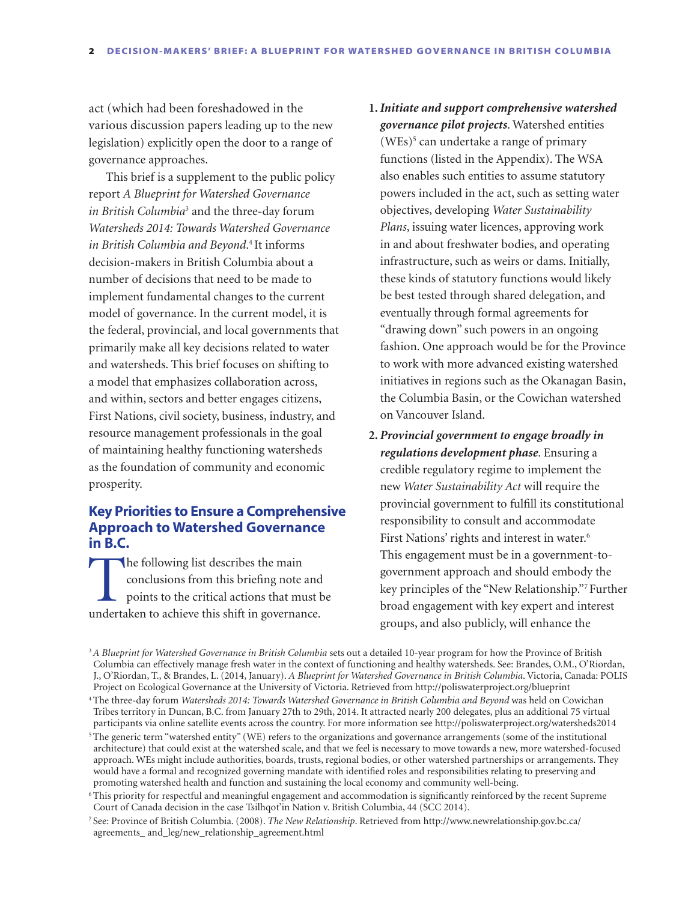act (which had been foreshadowed in the various discussion papers leading up to the new legislation) explicitly open the door to a range of governance approaches.

This brief is a supplement to the public policy report *A Blueprint for Watershed Governance in British Columbia*<sup>3</sup> and the three-day forum *Watersheds 2014: Towards Watershed Governance in British Columbia and Beyond*. 4 It informs decision-makers in British Columbia about a number of decisions that need to be made to implement fundamental changes to the current model of governance. In the current model, it is the federal, provincial, and local governments that primarily make all key decisions related to water and watersheds. This brief focuses on shifting to a model that emphasizes collaboration across, and within, sectors and better engages citizens, First Nations, civil society, business, industry, and resource management professionals in the goal of maintaining healthy functioning watersheds as the foundation of community and economic prosperity.

# **Key Priorities to Ensure a Comprehensive Approach to Watershed Governance in B.C.**

The following list describes the main<br>conclusions from this briefing note<br>points to the critical actions that must<br>expect the shift in governance conclusions from this briefing note and points to the critical actions that must be undertaken to achieve this shift in governance.

- **1.***Initiate and support comprehensive watershed governance pilot projects*. Watershed entities  $(WEs)^5$  can undertake a range of primary functions (listed in the Appendix). The WSA also enables such entities to assume statutory powers included in the act, such as setting water objectives, developing *Water Sustainability Plans*, issuing water licences, approving work in and about freshwater bodies, and operating infrastructure, such as weirs or dams. Initially, these kinds of statutory functions would likely be best tested through shared delegation, and eventually through formal agreements for "drawing down" such powers in an ongoing fashion. One approach would be for the Province to work with more advanced existing watershed initiatives in regions such as the Okanagan Basin, the Columbia Basin, or the Cowichan watershed on Vancouver Island.
- **2.** *Provincial government to engage broadly in regulations development phase*. Ensuring a credible regulatory regime to implement the new *Water Sustainability Act* will require the provincial government to fulfill its constitutional responsibility to consult and accommodate First Nations' rights and interest in water.<sup>6</sup> This engagement must be in a government-togovernment approach and should embody the key principles of the "New Relationship."7 Further broad engagement with key expert and interest groups, and also publicly, will enhance the

<sup>3</sup>*A Blueprint for Watershed Governance in British Columbia* sets out a detailed 10-year program for how the Province of British Columbia can effectively manage fresh water in the context of functioning and healthy watersheds. See: Brandes, O.M., O'Riordan, J., O'Riordan, T., & Brandes, L. (2014, January). *A Blueprint for Watershed Governance in British Columbia*. Victoria, Canada: POLIS Project on Ecological Governance at the University of Victoria. Retrieved from http://poliswaterproject.org/blueprint

<sup>4</sup> The three-day forum *Watersheds 2014: Towards Watershed Governance in British Columbia and Beyond* was held on Cowichan Tribes territory in Duncan, B.C. from January 27th to 29th, 2014. It attracted nearly 200 delegates, plus an additional 75 virtual participants via online satellite events across the country. For more information see http://poliswaterproject.org/watersheds2014

<sup>5</sup> The generic term "watershed entity" (WE) refers to the organizations and governance arrangements (some of the institutional architecture) that could exist at the watershed scale, and that we feel is necessary to move towards a new, more watershed-focused approach. WEs might include authorities, boards, trusts, regional bodies, or other watershed partnerships or arrangements. They would have a formal and recognized governing mandate with identified roles and responsibilities relating to preserving and promoting watershed health and function and sustaining the local economy and community well-being.

<sup>6</sup> This priority for respectful and meaningful engagement and accommodation is significantly reinforced by the recent Supreme Court of Canada decision in the case Tsilhqot'in Nation v. British Columbia, 44 (SCC 2014).

<sup>7</sup> See: Province of British Columbia. (2008). *The New Relationship*. Retrieved from http://www.newrelationship.gov.bc.ca/ agreements\_ and\_leg/new\_relationship\_agreement.html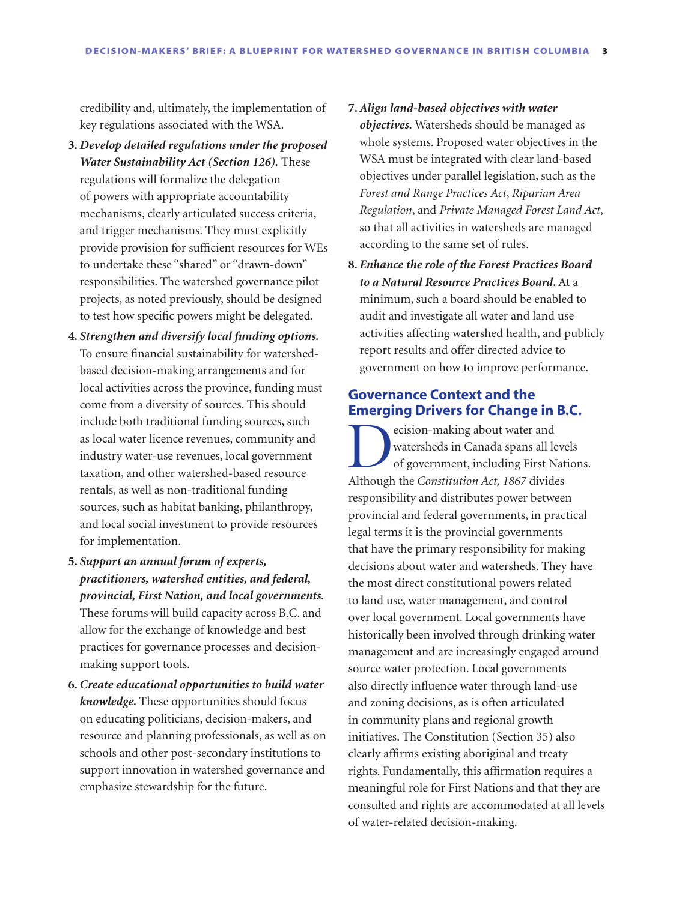credibility and, ultimately, the implementation of key regulations associated with the WSA.

- **3.** *Develop detailed regulations under the proposed Water Sustainability Act (Section 126).* These regulations will formalize the delegation of powers with appropriate accountability mechanisms, clearly articulated success criteria, and trigger mechanisms. They must explicitly provide provision for sufficient resources for WEs to undertake these "shared" or "drawn-down" responsibilities. The watershed governance pilot projects, as noted previously, should be designed to test how specific powers might be delegated.
- **4.** *Strengthen and diversify local funding options.*  To ensure financial sustainability for watershedbased decision-making arrangements and for local activities across the province, funding must come from a diversity of sources. This should include both traditional funding sources, such as local water licence revenues, community and industry water-use revenues, local government taxation, and other watershed-based resource rentals, as well as non-traditional funding sources, such as habitat banking, philanthropy, and local social investment to provide resources for implementation.
- **5.** *Support an annual forum of experts, practitioners, watershed entities, and federal, provincial, First Nation, and local governments.*  These forums will build capacity across B.C. and allow for the exchange of knowledge and best practices for governance processes and decisionmaking support tools.
- **6.** *Create educational opportunities to build water knowledge.* These opportunities should focus on educating politicians, decision-makers, and resource and planning professionals, as well as on schools and other post-secondary institutions to support innovation in watershed governance and emphasize stewardship for the future.
- **7.** *Align land-based objectives with water objectives.* Watersheds should be managed as whole systems. Proposed water objectives in the WSA must be integrated with clear land-based objectives under parallel legislation, such as the *Forest and Range Practices Act*, *Riparian Area Regulation*, and *Private Managed Forest Land Act*, so that all activities in watersheds are managed according to the same set of rules.
- **8.** *Enhance the role of the Forest Practices Board to a Natural Resource Practices Board***.** At a minimum, such a board should be enabled to audit and investigate all water and land use activities affecting watershed health, and publicly report results and offer directed advice to government on how to improve performance.

# **Governance Context and the Emerging Drivers for Change in B.C.**

ecision-making about water and<br>watersheds in Canada spans all less<br>of government, including First N<br>Although the Constitution Act, 1867 divide watersheds in Canada spans all levels of government, including First Nations. Although the *Constitution Act, 1867* divides responsibility and distributes power between provincial and federal governments, in practical legal terms it is the provincial governments that have the primary responsibility for making decisions about water and watersheds. They have the most direct constitutional powers related to land use, water management, and control over local government. Local governments have historically been involved through drinking water management and are increasingly engaged around source water protection. Local governments also directly influence water through land-use and zoning decisions, as is often articulated in community plans and regional growth initiatives. The Constitution (Section 35) also clearly affirms existing aboriginal and treaty rights. Fundamentally, this affirmation requires a meaningful role for First Nations and that they are consulted and rights are accommodated at all levels of water-related decision-making.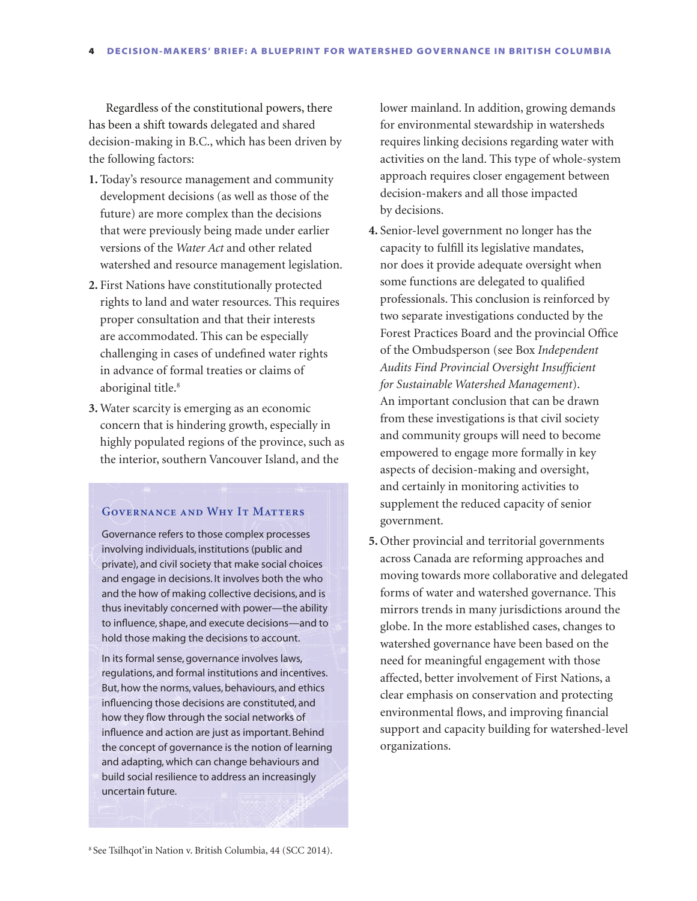Regardless of the constitutional powers, there has been a shift towards delegated and shared decision-making in B.C., which has been driven by the following factors:

- **1.** Today's resource management and community development decisions (as well as those of the future) are more complex than the decisions that were previously being made under earlier versions of the *Water Act* and other related watershed and resource management legislation.
- **2.** First Nations have constitutionally protected rights to land and water resources. This requires proper consultation and that their interests are accommodated. This can be especially challenging in cases of undefined water rights in advance of formal treaties or claims of aboriginal title.<sup>8</sup>
- **3.** Water scarcity is emerging as an economic concern that is hindering growth, especially in highly populated regions of the province, such as the interior, southern Vancouver Island, and the

#### **Governance and Why It Matters**

Governance refers to those complex processes involving individuals, institutions (public and private), and civil society that make social choices and engage in decisions. It involves both the who and the how of making collective decisions, and is thus inevitably concerned with power—the ability to influence, shape, and execute decisions—and to hold those making the decisions to account.

In its formal sense, governance involves laws, regulations, and formal institutions and incentives. But, how the norms, values, behaviours, and ethics influencing those decisions are constituted, and how they flow through the social networks of influence and action are just as important. Behind the concept of governance is the notion of learning and adapting, which can change behaviours and build social resilience to address an increasingly uncertain future.

lower mainland. In addition, growing demands for environmental stewardship in watersheds requires linking decisions regarding water with activities on the land. This type of whole-system approach requires closer engagement between decision-makers and all those impacted by decisions.

- **4.** Senior-level government no longer has the capacity to fulfill its legislative mandates, nor does it provide adequate oversight when some functions are delegated to qualified professionals. This conclusion is reinforced by two separate investigations conducted by the Forest Practices Board and the provincial Office of the Ombudsperson (see Box *Independent Audits Find Provincial Oversight Insufficient for Sustainable Watershed Management*). An important conclusion that can be drawn from these investigations is that civil society and community groups will need to become empowered to engage more formally in key aspects of decision-making and oversight, and certainly in monitoring activities to supplement the reduced capacity of senior government.
- **5.** Other provincial and territorial governments across Canada are reforming approaches and moving towards more collaborative and delegated forms of water and watershed governance. This mirrors trends in many jurisdictions around the globe. In the more established cases, changes to watershed governance have been based on the need for meaningful engagement with those affected, better involvement of First Nations, a clear emphasis on conservation and protecting environmental flows, and improving financial support and capacity building for watershed-level organizations.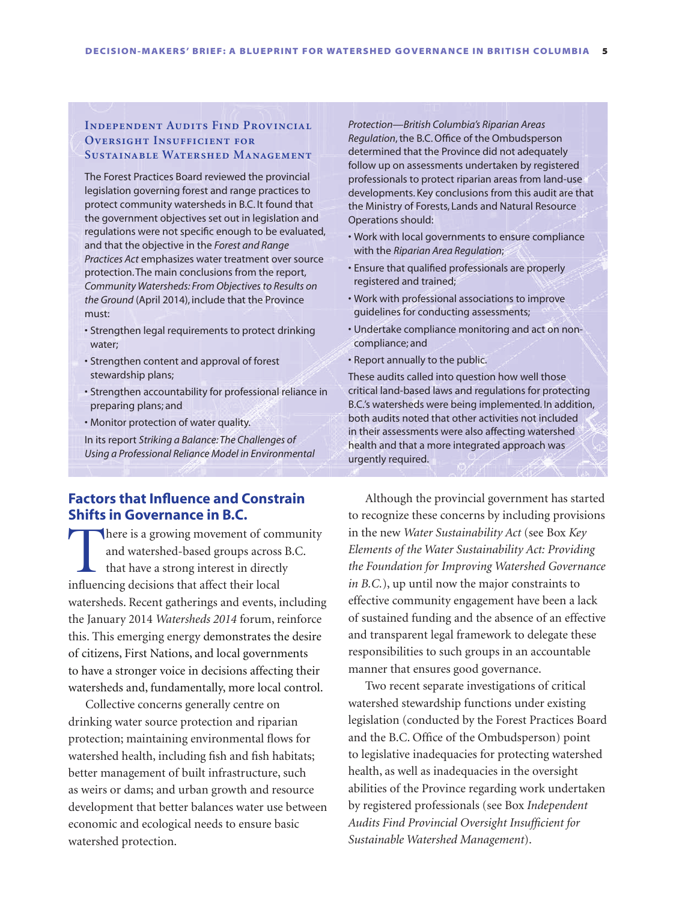## **Independent Audits Find Provincial OVERSIGHT INSUFFICIENT FOR Sustainable Watershed Management**

The Forest Practices Board reviewed the provincial legislation governing forest and range practices to protect community watersheds in B.C. It found that the government objectives set out in legislation and regulations were not specific enough to be evaluated, and that the objective in the *Forest and Range Practices Act* emphasizes water treatment over source protection. The main conclusions from the report, *Community Watersheds: From Objectives to Results on the Ground* (April 2014), include that the Province must:

- • Strengthen legal requirements to protect drinking water;
- • Strengthen content and approval of forest stewardship plans;
- • Strengthen accountability for professional reliance in preparing plans; and
- • Monitor protection of water quality.

In its report *Striking a Balance: The Challenges of Using a Professional Reliance Model in Environmental* 

## **Factors that Influence and Constrain Shifts in Governance in B.C.**

There is a growing movement of community<br>and watershed-based groups across B.C.<br>that have a strong interest in directly<br>influencing decisions that affect their local and watershed-based groups across B.C. that have a strong interest in directly influencing decisions that affect their local watersheds. Recent gatherings and events, including the January 2014 *Watersheds 2014* forum, reinforce this. This emerging energy demonstrates the desire of citizens, First Nations, and local governments to have a stronger voice in decisions affecting their watersheds and, fundamentally, more local control.

Collective concerns generally centre on drinking water source protection and riparian protection; maintaining environmental flows for watershed health, including fish and fish habitats; better management of built infrastructure, such as weirs or dams; and urban growth and resource development that better balances water use between economic and ecological needs to ensure basic watershed protection.

*Protection—British Columbia's Riparian Areas Regulation*, the B.C. Office of the Ombudsperson determined that the Province did not adequately follow up on assessments undertaken by registered professionals to protect riparian areas from land-use developments. Key conclusions from this audit are that the Ministry of Forests, Lands and Natural Resource Operations should:

- • Work with local governments to ensure compliance with the *Riparian Area Regulation*;
- • Ensure that qualified professionals are properly registered and trained;
- • Work with professional associations to improve guidelines for conducting assessments;
- Undertake compliance monitoring and act on noncompliance; and
- • Report annually to the public.

These audits called into question how well those critical land-based laws and regulations for protecting B.C.'s watersheds were being implemented. In addition, both audits noted that other activities not included in their assessments were also affecting watershed health and that a more integrated approach was urgently required.

Although the provincial government has started to recognize these concerns by including provisions in the new *Water Sustainability Act* (see Box *Key Elements of the Water Sustainability Act: Providing the Foundation for Improving Watershed Governance in B.C.*), up until now the major constraints to effective community engagement have been a lack of sustained funding and the absence of an effective and transparent legal framework to delegate these responsibilities to such groups in an accountable manner that ensures good governance.

Two recent separate investigations of critical watershed stewardship functions under existing legislation (conducted by the Forest Practices Board and the B.C. Office of the Ombudsperson) point to legislative inadequacies for protecting watershed health, as well as inadequacies in the oversight abilities of the Province regarding work undertaken by registered professionals (see Box *Independent Audits Find Provincial Oversight Insufficient for Sustainable Watershed Management*).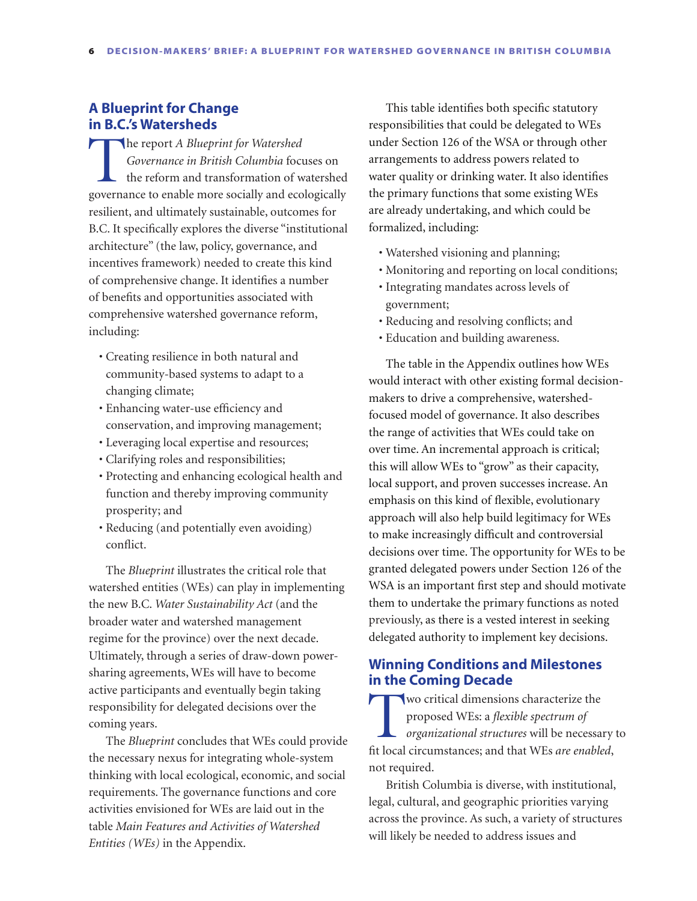# **A Blueprint for Change in B.C.'s Watersheds**

The report *A Blueprint for Watershed Governance in British Columbia* focuses on the reform and transformation of watershed governance to enable more socially and ecologically resilient, and ultimately sustainable, outcomes for B.C. It specifically explores the diverse "institutional architecture" (the law, policy, governance, and incentives framework) needed to create this kind of comprehensive change. It identifies a number of benefits and opportunities associated with comprehensive watershed governance reform, including:

- • Creating resilience in both natural and community-based systems to adapt to a changing climate;
- • Enhancing water-use efficiency and conservation, and improving management;
- • Leveraging local expertise and resources;
- • Clarifying roles and responsibilities;
- • Protecting and enhancing ecological health and function and thereby improving community prosperity; and
- • Reducing (and potentially even avoiding) conflict.

The *Blueprint* illustrates the critical role that watershed entities (WEs) can play in implementing the new B.C. *Water Sustainability Act* (and the broader water and watershed management regime for the province) over the next decade. Ultimately, through a series of draw-down powersharing agreements, WEs will have to become active participants and eventually begin taking responsibility for delegated decisions over the coming years.

The *Blueprint* concludes that WEs could provide the necessary nexus for integrating whole-system thinking with local ecological, economic, and social requirements. The governance functions and core activities envisioned for WEs are laid out in the table *Main Features and Activities of Watershed Entities (WEs)* in the Appendix.

This table identifies both specific statutory responsibilities that could be delegated to WEs under Section 126 of the WSA or through other arrangements to address powers related to water quality or drinking water. It also identifies the primary functions that some existing WEs are already undertaking, and which could be formalized, including:

- Watershed visioning and planning;
- • Monitoring and reporting on local conditions;
- • Integrating mandates across levels of government;
- • Reducing and resolving conflicts; and
- Education and building awareness.

The table in the Appendix outlines how WEs would interact with other existing formal decisionmakers to drive a comprehensive, watershedfocused model of governance. It also describes the range of activities that WEs could take on over time. An incremental approach is critical; this will allow WEs to "grow" as their capacity, local support, and proven successes increase. An emphasis on this kind of flexible, evolutionary approach will also help build legitimacy for WEs to make increasingly difficult and controversial decisions over time. The opportunity for WEs to be granted delegated powers under Section 126 of the WSA is an important first step and should motivate them to undertake the primary functions as noted previously, as there is a vested interest in seeking delegated authority to implement key decisions.

# **Winning Conditions and Milestones in the Coming Decade**

Two critical dimensions characterize the proposed WEs: a *flexible spectrum of organizational structures* will be necessary to fit local circumstances; and that WEs *are enabled*, not required.

British Columbia is diverse, with institutional, legal, cultural, and geographic priorities varying across the province. As such, a variety of structures will likely be needed to address issues and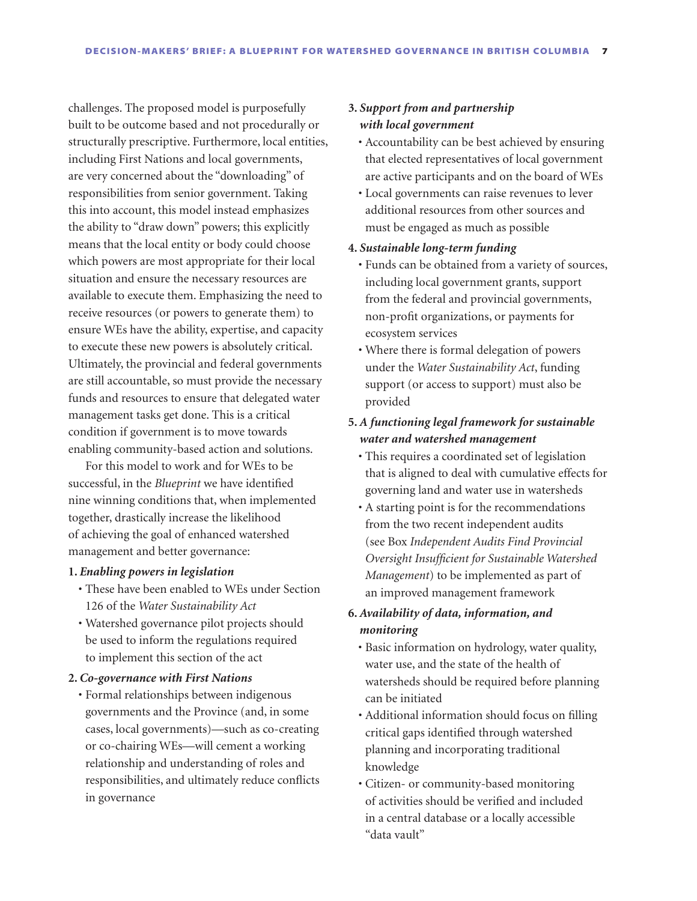challenges. The proposed model is purposefully built to be outcome based and not procedurally or structurally prescriptive. Furthermore, local entities, including First Nations and local governments, are very concerned about the "downloading" of responsibilities from senior government. Taking this into account, this model instead emphasizes the ability to "draw down" powers; this explicitly means that the local entity or body could choose which powers are most appropriate for their local situation and ensure the necessary resources are available to execute them. Emphasizing the need to receive resources (or powers to generate them) to ensure WEs have the ability, expertise, and capacity to execute these new powers is absolutely critical. Ultimately, the provincial and federal governments are still accountable, so must provide the necessary funds and resources to ensure that delegated water management tasks get done. This is a critical condition if government is to move towards enabling community-based action and solutions.

For this model to work and for WEs to be successful, in the *Blueprint* we have identified nine winning conditions that, when implemented together, drastically increase the likelihood of achieving the goal of enhanced watershed management and better governance:

#### **1.** *Enabling powers in legislation*

- • These have been enabled to WEs under Section 126 of the *Water Sustainability Act*
- • Watershed governance pilot projects should be used to inform the regulations required to implement this section of the act

#### **2.** *Co-governance with First Nations*

• Formal relationships between indigenous governments and the Province (and, in some cases, local governments)—such as co-creating or co-chairing WEs—will cement a working relationship and understanding of roles and responsibilities, and ultimately reduce conflicts in governance

## **3.** *Support from and partnership with local government*

- • Accountability can be best achieved by ensuring that elected representatives of local government are active participants and on the board of WEs
- • Local governments can raise revenues to lever additional resources from other sources and must be engaged as much as possible
- **4.** *Sustainable long-term funding*
	- • Funds can be obtained from a variety of sources, including local government grants, support from the federal and provincial governments, non-profit organizations, or payments for ecosystem services
	- • Where there is formal delegation of powers under the *Water Sustainability Act*, funding support (or access to support) must also be provided

# **5.** *A functioning legal framework for sustainable water and watershed management*

- • This requires a coordinated set of legislation that is aligned to deal with cumulative effects for governing land and water use in watersheds
- • A starting point is for the recommendations from the two recent independent audits (see Box *Independent Audits Find Provincial Oversight Insufficient for Sustainable Watershed Management*) to be implemented as part of an improved management framework

# **6.** *Availability of data, information, and monitoring*

- • Basic information on hydrology, water quality, water use, and the state of the health of watersheds should be required before planning can be initiated
- • Additional information should focus on filling critical gaps identified through watershed planning and incorporating traditional knowledge
- • Citizen- or community-based monitoring of activities should be verified and included in a central database or a locally accessible "data vault"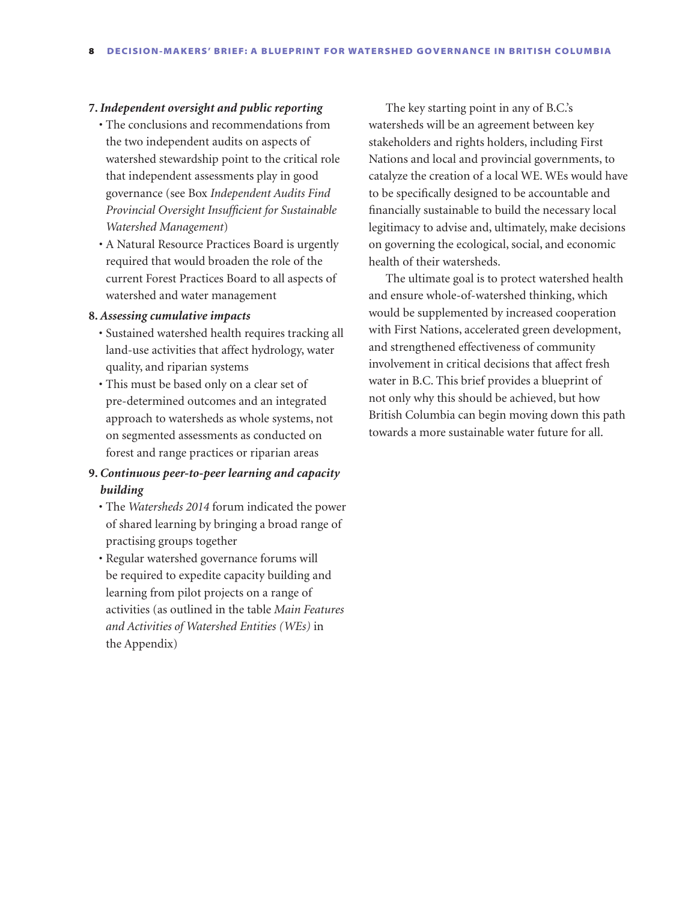#### **7.***Independent oversight and public reporting*

- The conclusions and recommendations from the two independent audits on aspects of watershed stewardship point to the critical role that independent assessments play in good governance (see Box *Independent Audits Find Provincial Oversight Insufficient for Sustainable Watershed Management*)
- • A Natural Resource Practices Board is urgently required that would broaden the role of the current Forest Practices Board to all aspects of watershed and water management

### **8.** *Assessing cumulative impacts*

- • Sustained watershed health requires tracking all land-use activities that affect hydrology, water quality, and riparian systems
- This must be based only on a clear set of pre-determined outcomes and an integrated approach to watersheds as whole systems, not on segmented assessments as conducted on forest and range practices or riparian areas

# **9.** *Continuous peer-to-peer learning and capacity building*

- The *Watersheds 2014* forum indicated the power of shared learning by bringing a broad range of practising groups together
- • Regular watershed governance forums will be required to expedite capacity building and learning from pilot projects on a range of activities (as outlined in the table *Main Features and Activities of Watershed Entities (WEs)* in the Appendix)

The key starting point in any of B.C.'s watersheds will be an agreement between key stakeholders and rights holders, including First Nations and local and provincial governments, to catalyze the creation of a local WE. WEs would have to be specifically designed to be accountable and financially sustainable to build the necessary local legitimacy to advise and, ultimately, make decisions on governing the ecological, social, and economic health of their watersheds.

The ultimate goal is to protect watershed health and ensure whole-of-watershed thinking, which would be supplemented by increased cooperation with First Nations, accelerated green development, and strengthened effectiveness of community involvement in critical decisions that affect fresh water in B.C. This brief provides a blueprint of not only why this should be achieved, but how British Columbia can begin moving down this path towards a more sustainable water future for all.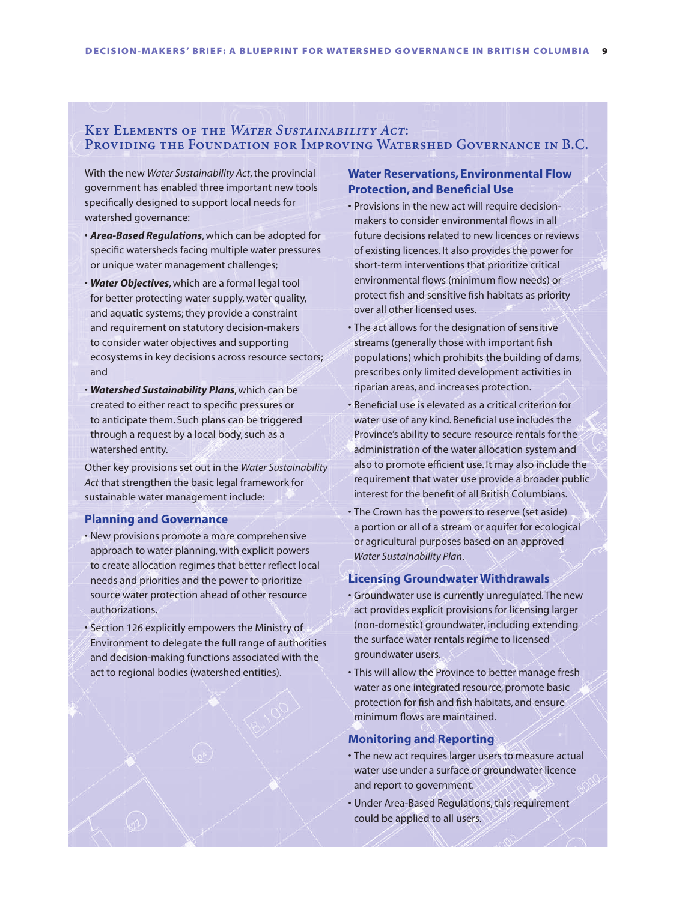## **Key Elements of the** *Water Sustainability Act***: Providing the Foundation for Improving Watershed Governance in B.C.**

With the new *Water Sustainability Act*, the provincial government has enabled three important new tools specifically designed to support local needs for watershed governance:

- • *Area-Based Regulations*, which can be adopted for specific watersheds facing multiple water pressures or unique water management challenges;
- • *Water Objectives*, which are a formal legal tool for better protecting water supply, water quality, and aquatic systems; they provide a constraint and requirement on statutory decision-makers to consider water objectives and supporting ecosystems in key decisions across resource sectors; and
- • *Watershed Sustainability Plans*, which can be created to either react to specific pressures or to anticipate them. Such plans can be triggered through a request by a local body, such as a watershed entity.

Other key provisions set out in the *Water Sustainability Act* that strengthen the basic legal framework for sustainable water management include:

#### **Planning and Governance**

- • New provisions promote a more comprehensive approach to water planning, with explicit powers to create allocation regimes that better reflect local needs and priorities and the power to prioritize source water protection ahead of other resource authorizations.
- Section 126 explicitly empowers the Ministry of Environment to delegate the full range of authorities and decision-making functions associated with the act to regional bodies (watershed entities).

## **Water Reservations, Environmental Flow Protection, and Beneficial Use**

- Provisions in the new act will require decisionmakers to consider environmental flows in all future decisions related to new licences or reviews of existing licences. It also provides the power for short-term interventions that prioritize critical environmental flows (minimum flow needs) or protect fish and sensitive fish habitats as priority over all other licensed uses.
- The act allows for the designation of sensitive streams (generally those with important fish populations) which prohibits the building of dams, prescribes only limited development activities in riparian areas, and increases protection.
- • Beneficial use is elevated as a critical criterion for water use of any kind. Beneficial use includes the Province's ability to secure resource rentals for the administration of the water allocation system and also to promote efficient use. It may also include the requirement that water use provide a broader public interest for the benefit of all British Columbians.
- The Crown has the powers to reserve (set aside) a portion or all of a stream or aquifer for ecological or agricultural purposes based on an approved *Water Sustainability Plan*.

#### **Licensing Groundwater Withdrawals**

- • Groundwater use is currently unregulated.The new act provides explicit provisions for licensing larger (non-domestic) groundwater, including extending the surface water rentals regime to licensed groundwater users.
- This will allow the Province to better manage fresh water as one integrated resource, promote basic protection for fish and fish habitats, and ensure minimum flows are maintained.

#### **Monitoring and Reporting**

- The new act requires larger users to measure actual water use under a surface or groundwater licence and report to government.
- • Under Area-Based Regulations,this requirement could be applied to all users.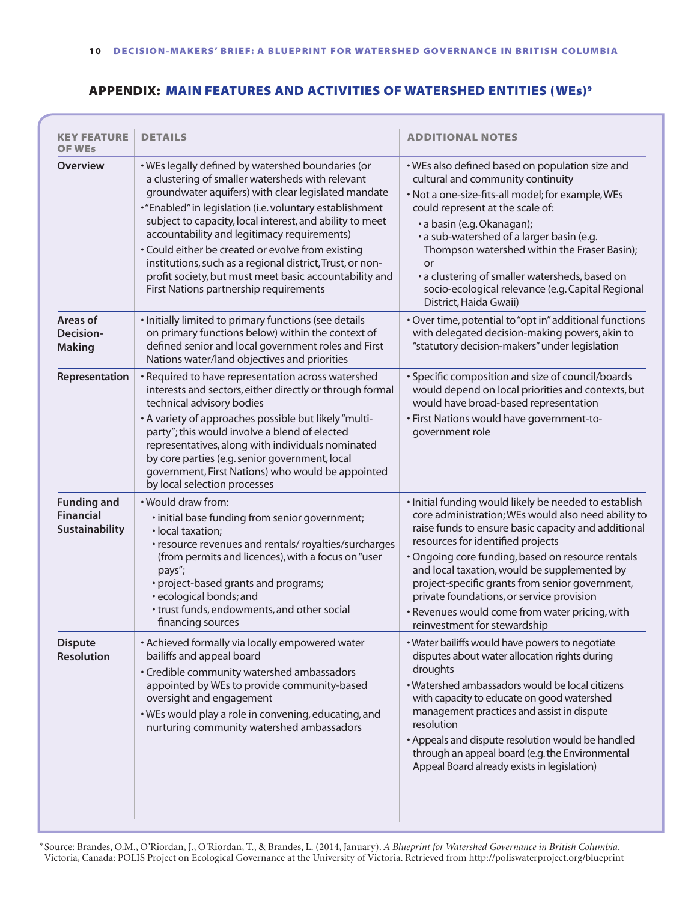## appendix: Main Features and Activities of Watershed Entities (WEs)9

| <b>KEY FEATURE</b><br><b>OF WES</b>                      | <b>DETAILS</b>                                                                                                                                                                                                                                                                                                                                                                                                                                                                                                                                            | <b>ADDITIONAL NOTES</b>                                                                                                                                                                                                                                                                                                                                                                                                                                                                         |
|----------------------------------------------------------|-----------------------------------------------------------------------------------------------------------------------------------------------------------------------------------------------------------------------------------------------------------------------------------------------------------------------------------------------------------------------------------------------------------------------------------------------------------------------------------------------------------------------------------------------------------|-------------------------------------------------------------------------------------------------------------------------------------------------------------------------------------------------------------------------------------------------------------------------------------------------------------------------------------------------------------------------------------------------------------------------------------------------------------------------------------------------|
| <b>Overview</b>                                          | . WEs legally defined by watershed boundaries (or<br>a clustering of smaller watersheds with relevant<br>groundwater aquifers) with clear legislated mandate<br>• "Enabled" in legislation (i.e. voluntary establishment<br>subject to capacity, local interest, and ability to meet<br>accountability and legitimacy requirements)<br>• Could either be created or evolve from existing<br>institutions, such as a regional district, Trust, or non-<br>profit society, but must meet basic accountability and<br>First Nations partnership requirements | . WEs also defined based on population size and<br>cultural and community continuity<br>· Not a one-size-fits-all model; for example, WEs<br>could represent at the scale of:<br>• a basin (e.g. Okanagan);<br>• a sub-watershed of a larger basin (e.g.<br>Thompson watershed within the Fraser Basin);<br>or<br>• a clustering of smaller watersheds, based on<br>socio-ecological relevance (e.g. Capital Regional<br>District, Haida Gwaii)                                                 |
| Areas of<br>Decision-<br><b>Making</b>                   | · Initially limited to primary functions (see details<br>on primary functions below) within the context of<br>defined senior and local government roles and First<br>Nations water/land objectives and priorities                                                                                                                                                                                                                                                                                                                                         | . Over time, potential to "opt in" additional functions<br>with delegated decision-making powers, akin to<br>"statutory decision-makers" under legislation                                                                                                                                                                                                                                                                                                                                      |
| Representation                                           | • Required to have representation across watershed<br>interests and sectors, either directly or through formal<br>technical advisory bodies<br>• A variety of approaches possible but likely "multi-<br>party"; this would involve a blend of elected<br>representatives, along with individuals nominated<br>by core parties (e.g. senior government, local<br>government, First Nations) who would be appointed<br>by local selection processes                                                                                                         | · Specific composition and size of council/boards<br>would depend on local priorities and contexts, but<br>would have broad-based representation<br>· First Nations would have government-to-<br>government role                                                                                                                                                                                                                                                                                |
| <b>Funding and</b><br><b>Financial</b><br>Sustainability | . Would draw from:<br>· initial base funding from senior government;<br>· local taxation;<br>• resource revenues and rentals/ royalties/surcharges<br>(from permits and licences), with a focus on "user<br>pays";<br>• project-based grants and programs;<br>• ecological bonds; and<br>• trust funds, endowments, and other social<br>financing sources                                                                                                                                                                                                 | . Initial funding would likely be needed to establish<br>core administration; WEs would also need ability to<br>raise funds to ensure basic capacity and additional<br>resources for identified projects<br>· Ongoing core funding, based on resource rentals<br>and local taxation, would be supplemented by<br>project-specific grants from senior government,<br>private foundations, or service provision<br>• Revenues would come from water pricing, with<br>reinvestment for stewardship |
| <b>Dispute</b><br><b>Resolution</b>                      | • Achieved formally via locally empowered water<br>bailiffs and appeal board<br>• Credible community watershed ambassadors<br>appointed by WEs to provide community-based<br>oversight and engagement<br>. WEs would play a role in convening, educating, and<br>nurturing community watershed ambassadors                                                                                                                                                                                                                                                | . Water bailiffs would have powers to negotiate<br>disputes about water allocation rights during<br>droughts<br>· Watershed ambassadors would be local citizens<br>with capacity to educate on good watershed<br>management practices and assist in dispute<br>resolution<br>• Appeals and dispute resolution would be handled<br>through an appeal board (e.g. the Environmental<br>Appeal Board already exists in legislation)                                                                |

<sup>9</sup> Source: Brandes, O.M., O'Riordan, J., O'Riordan, T., & Brandes, L. (2014, January). *A Blueprint for Watershed Governance in British Columbia*. Victoria, Canada: POLIS Project on Ecological Governance at the University of Victoria. Retrieved from http://poliswaterproject.org/blueprint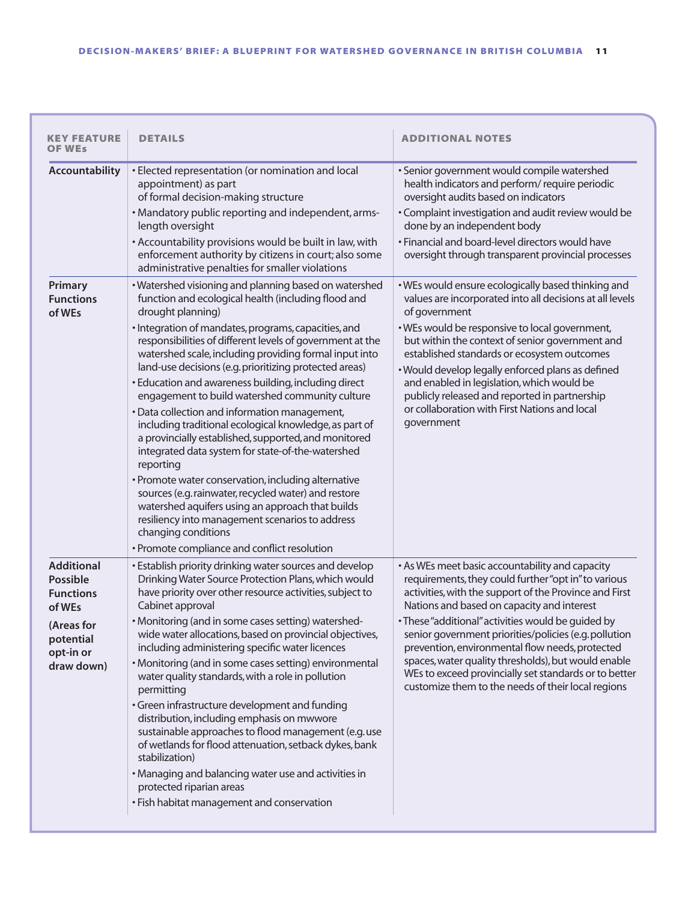| <b>KEY FEATURE</b><br>OF WEs                                                                                             | <b>DETAILS</b>                                                                                                                                                                                                                                                                                                                                                                                                                                                                                                                                                                                                                                                                                                                                                                                                                                                                                                                                                                                                          | <b>ADDITIONAL NOTES</b>                                                                                                                                                                                                                                                                                                                                                                                                                                                                                                                                 |
|--------------------------------------------------------------------------------------------------------------------------|-------------------------------------------------------------------------------------------------------------------------------------------------------------------------------------------------------------------------------------------------------------------------------------------------------------------------------------------------------------------------------------------------------------------------------------------------------------------------------------------------------------------------------------------------------------------------------------------------------------------------------------------------------------------------------------------------------------------------------------------------------------------------------------------------------------------------------------------------------------------------------------------------------------------------------------------------------------------------------------------------------------------------|---------------------------------------------------------------------------------------------------------------------------------------------------------------------------------------------------------------------------------------------------------------------------------------------------------------------------------------------------------------------------------------------------------------------------------------------------------------------------------------------------------------------------------------------------------|
| Accountability                                                                                                           | · Elected representation (or nomination and local<br>appointment) as part<br>of formal decision-making structure<br>• Mandatory public reporting and independent, arms-<br>length oversight<br>• Accountability provisions would be built in law, with<br>enforcement authority by citizens in court; also some<br>administrative penalties for smaller violations                                                                                                                                                                                                                                                                                                                                                                                                                                                                                                                                                                                                                                                      | · Senior government would compile watershed<br>health indicators and perform/ require periodic<br>oversight audits based on indicators<br>• Complaint investigation and audit review would be<br>done by an independent body<br>• Financial and board-level directors would have<br>oversight through transparent provincial processes                                                                                                                                                                                                                  |
| <b>Primary</b><br><b>Functions</b><br>of WEs                                                                             | · Watershed visioning and planning based on watershed<br>function and ecological health (including flood and<br>drought planning)<br>· Integration of mandates, programs, capacities, and<br>responsibilities of different levels of government at the<br>watershed scale, including providing formal input into<br>land-use decisions (e.g. prioritizing protected areas)<br>• Education and awareness building, including direct<br>engagement to build watershed community culture<br>· Data collection and information management,<br>including traditional ecological knowledge, as part of<br>a provincially established, supported, and monitored<br>integrated data system for state-of-the-watershed<br>reporting<br>• Promote water conservation, including alternative<br>sources (e.g. rainwater, recycled water) and restore<br>watershed aquifers using an approach that builds<br>resiliency into management scenarios to address<br>changing conditions<br>· Promote compliance and conflict resolution | . WEs would ensure ecologically based thinking and<br>values are incorporated into all decisions at all levels<br>of government<br>. WEs would be responsive to local government,<br>but within the context of senior government and<br>established standards or ecosystem outcomes<br>· Would develop legally enforced plans as defined<br>and enabled in legislation, which would be<br>publicly released and reported in partnership<br>or collaboration with First Nations and local<br>government                                                  |
| <b>Additional</b><br><b>Possible</b><br><b>Functions</b><br>of WEs<br>(Areas for<br>potential<br>opt-in or<br>draw down) | • Establish priority drinking water sources and develop<br>Drinking Water Source Protection Plans, which would<br>have priority over other resource activities, subject to<br>Cabinet approval<br>• Monitoring (and in some cases setting) watershed-<br>wide water allocations, based on provincial objectives,<br>including administering specific water licences<br>• Monitoring (and in some cases setting) environmental<br>water quality standards, with a role in pollution<br>permitting<br>• Green infrastructure development and funding<br>distribution, including emphasis on mwwore<br>sustainable approaches to flood management (e.g. use<br>of wetlands for flood attenuation, setback dykes, bank<br>stabilization)<br>• Managing and balancing water use and activities in<br>protected riparian areas<br>• Fish habitat management and conservation                                                                                                                                                  | • As WEs meet basic accountability and capacity<br>requirements, they could further "opt in" to various<br>activities, with the support of the Province and First<br>Nations and based on capacity and interest<br>• These "additional" activities would be quided by<br>senior government priorities/policies (e.g. pollution<br>prevention, environmental flow needs, protected<br>spaces, water quality thresholds), but would enable<br>WEs to exceed provincially set standards or to better<br>customize them to the needs of their local regions |